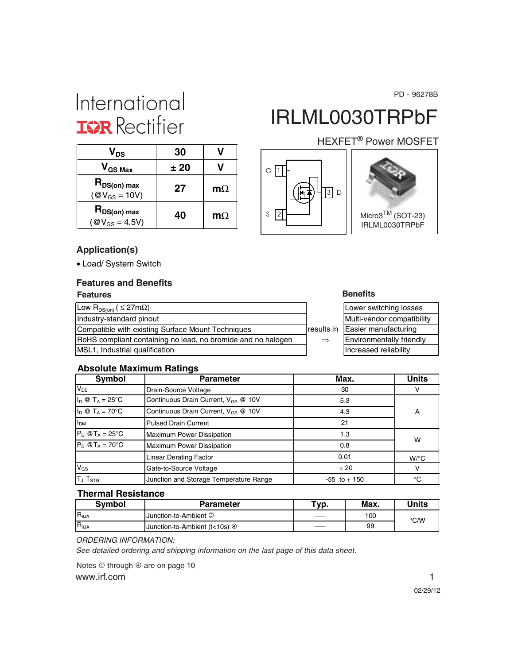PD - 96278B

# International **IGR** Rectifier

| $V_{DS}$                                      | 30   |                 |
|-----------------------------------------------|------|-----------------|
| $V_{GS\,Max}$                                 | ± 20 |                 |
| $R_{DS(on) max}$<br>$(\text{@V}_{GS} = 10V)$  | 27   | ${\sf m}\Omega$ |
| $R_{DS(on) max}$<br>$(\text{@V}_{GS} = 4.5V)$ | 40   | ${\sf m}\Omega$ |

# IRLML0030TRPbF

#### HEXFET<sup>®</sup> Power MOSFET





#### **Application(s)**

• Load/ System Switch

### **Features and Benefits**

#### **Features Benefits**

| Low $\overline{R}_{DS(on)}$ ( $\leq$ 27m $\Omega$ )          |               | Lower switching losses          |
|--------------------------------------------------------------|---------------|---------------------------------|
| Industry-standard pinout                                     |               | Multi-vendor compatibility      |
| Compatible with existing Surface Mount Techniques            |               | results in Easier manufacturing |
| RoHS compliant containing no lead, no bromide and no halogen | $\Rightarrow$ | <b>Environmentally friendly</b> |
| MSL1, Industrial qualification                               |               | Increased reliability           |

| Lower switching losses      |
|-----------------------------|
| Multi-vendor compatibility  |
| <b>Easier manufacturing</b> |
| Environmentally friendly    |
| Increased reliability       |
|                             |

#### **Absolute Maximum Ratings**

| Symbol<br><b>Parameter</b>                                       |                                                 | Max.            | Units   |
|------------------------------------------------------------------|-------------------------------------------------|-----------------|---------|
| $V_{DS}$                                                         | Drain-Source Voltage                            | 30              |         |
| $I_D \otimes T_A = 25^\circ C$                                   | Continuous Drain Current, $V_{GS}$ @ 10V        | 5.3             |         |
| $I_D \otimes T_A = 70^\circ C$                                   | Continuous Drain Current, V <sub>GS</sub> @ 10V | 4.3             | А       |
| I <sub>DM</sub><br>Pulsed Drain Current                          |                                                 | 21              |         |
| $P_D$ @T <sub>A</sub> = 25°C                                     | <b>Maximum Power Dissipation</b>                | 1.3             | W       |
| $P_D$ @T <sub>A</sub> = 70°C<br><b>Maximum Power Dissipation</b> |                                                 | 0.8             |         |
|                                                                  | <b>Linear Derating Factor</b>                   | 0.01            | $W$ /°C |
| $V_{GS}$                                                         | Gate-to-Source Voltage                          | ± 20            | ν       |
| T <sub>J, TstG</sub>                                             | Junction and Storage Temperature Range          | $-55$ to $+150$ | °C      |

#### **Thermal Resistance**

| <b>Symbol</b>  | <b>Parameter</b>                                    | Typ.                     | Max. | <b>Jnits</b> |
|----------------|-----------------------------------------------------|--------------------------|------|--------------|
| $R_{\theta$ JA | I Junction-to-Ambient <sup>③</sup>                  | ___                      | 100  | °C/W         |
| $R_{\theta$ JA | <b>Junction-to-Ambient (t&lt;10s)</b> $\circled{0}$ | $\overline{\phantom{a}}$ | 99   |              |

*ORDERING INFORMATION:*

*See detailed ordering and shipping information on the last page of this data sheet.*

www.irf.com 1 Notes  $\overline{0}$  through  $\overline{0}$  are on page 10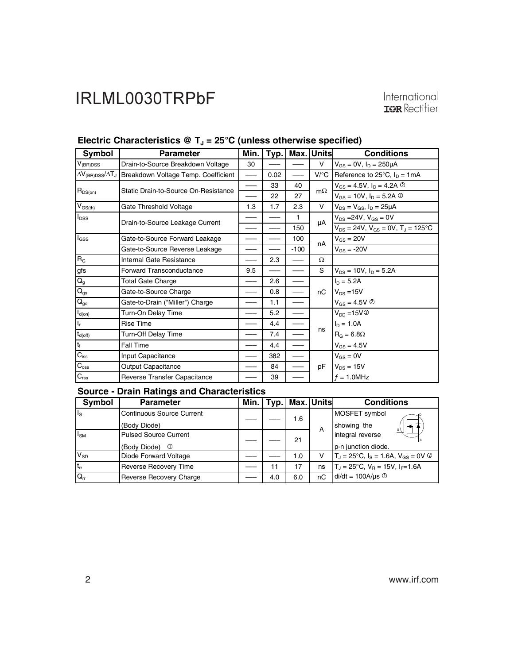| Symbol                                  | <b>Parameter</b>                                                           | Min. | Typ. | Max.         | <b>Units</b> | <b>Conditions</b>                               |
|-----------------------------------------|----------------------------------------------------------------------------|------|------|--------------|--------------|-------------------------------------------------|
| $V_{(BR)DSS}$                           | Drain-to-Source Breakdown Voltage                                          | 30   |      |              | V            | $V_{GS} = 0V$ , $I_D = 250 \mu A$               |
|                                         | AV <sub>(BR)DSS</sub> /AT <sub>J</sub> Breakdown Voltage Temp. Coefficient |      | 0.02 |              |              | V/°C Reference to 25°C, $I_D = 1mA$             |
|                                         | Static Drain-to-Source On-Resistance                                       | —    | 33   | 40           | $m\Omega$    | $V_{GS} = 4.5V, I_D = 4.2A$ 2                   |
| $R_{DS(on)}$                            |                                                                            |      | 22   | 27           |              | $V_{GS}$ = 10V, $I_D$ = 5.2A $\circledcirc$     |
| $\mathsf{V}_{\mathsf{GS}(\mathsf{th})}$ | Gate Threshold Voltage                                                     | 1.3  | 1.7  | 2.3          | $\vee$       | $V_{DS} = V_{GS}$ , $I_D = 25 \mu A$            |
| $I_{\text{DSS}}$                        | Drain-to-Source Leakage Current                                            |      |      | $\mathbf{1}$ | μA           | $V_{DS} = 24V$ , $V_{GS} = 0V$                  |
|                                         |                                                                            |      |      | 150          |              | $V_{DS} = 24V$ , $V_{GS} = 0V$ , $T_J = 125$ °C |
| $I_{\mathsf{GSS}}$                      | Gate-to-Source Forward Leakage                                             |      |      | 100          | nA           | $V_{GS} = 20V$                                  |
|                                         | Gate-to-Source Reverse Leakage                                             |      |      | $-100$       |              | $V_{GS} = -20V$                                 |
| R <sub>G</sub>                          | Internal Gate Resistance                                                   |      | 2.3  |              | Ω            |                                                 |
| gfs                                     | Forward Transconductance                                                   | 9.5  |      |              | S            | $V_{DS}$ = 10V, $I_D$ = 5.2A                    |
| $Q_{g}$                                 | Total Gate Charge                                                          |      | 2.6  |              |              | $I_D = 5.2A$                                    |
| $Q_{gs}$                                | Gate-to-Source Charge                                                      |      | 0.8  |              | пC           | $V_{DS}$ = 15V                                  |
| $Q_{gd}$                                | Gate-to-Drain ("Miller") Charge                                            |      | 1.1  |              |              | $V_{GS} = 4.5V$ ©                               |
| $t_{d(on)}$                             | Turn-On Delay Time                                                         |      | 5.2  |              |              | $V_{DD} = 15V$ <sup>②</sup>                     |
| $t_r$                                   | Rise Time                                                                  |      | 4.4  |              |              | $I_D = 1.0A$                                    |
| $t_{d(off)}$                            | Turn-Off Delay Time                                                        |      | 7.4  | ——           | ns           | $R_G = 6.8\Omega$                               |
| $t_f$                                   | Fall Time                                                                  |      | 4.4  |              |              | $V_{GS} = 4.5V$                                 |
| $\mathbf{C}_{\text{iss}}$               | Input Capacitance                                                          |      | 382  |              |              | $V_{GS} = 0V$                                   |
| $C_{\rm oss}$                           | <b>Output Capacitance</b>                                                  |      | 84   |              | рF           | $V_{DS} = 15V$                                  |
| $C_{\text{rss}}$                        | Reverse Transfer Capacitance                                               |      | 39   |              |              | $f = 1.0$ MHz                                   |

### Electric Characteristics @ T<sub>J</sub> = 25°C (unless otherwise specified)

#### **Source - Drain Ratings and Characteristics**

| Symbol                  | <b>Parameter</b>                 | Min. |     |     | Typ.   Max.   Units | <b>Conditions</b>                                    |
|-------------------------|----------------------------------|------|-----|-----|---------------------|------------------------------------------------------|
| $\mathsf{I}_\mathsf{S}$ | <b>Continuous Source Current</b> |      |     | 1.6 |                     | MOSFET symbol                                        |
|                         | (Body Diode)                     |      |     |     | А                   | showing the<br>G١                                    |
| $I_{SM}$                | <b>Pulsed Source Current</b>     |      |     | 21  |                     | integral reverse                                     |
|                         | (Body Diode)<br>$\circledcirc$   |      |     |     |                     | p-n junction diode.                                  |
| $V_{SD}$                | Diode Forward Voltage            |      |     | 1.0 | v                   | $T_J = 25^{\circ}C$ , $I_S = 1.6A$ , $V_{GS} = 0V$ 2 |
| $t_{rr}$                | Reverse Recovery Time            |      | 11  | 17  | ns                  | $T_J = 25^{\circ}C$ , $V_B = 15V$ , $I_F = 1.6A$     |
| $\overline{Q_{rr}}$     | Reverse Recovery Charge          |      | 4.0 | 6.0 | nC                  | $di/dt = 100A/\mu s$ <sup>2</sup>                    |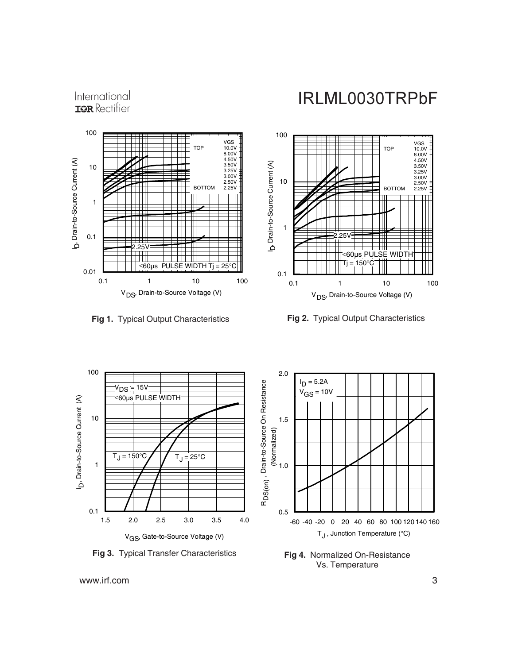

International

# IRLML0030TRPbF



**Fig 1.** Typical Output Characteristics **Fig 2.** Typical Output Characteristics



**Fig 3.** Typical Transfer Characteristics

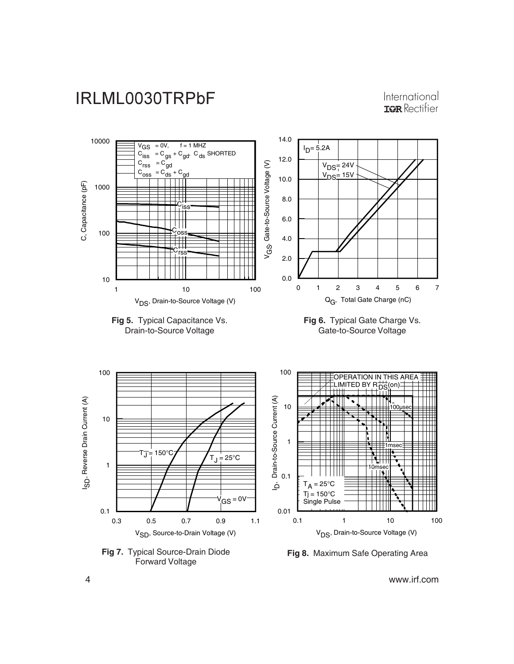International **IOR** Rectifier



Forward Voltage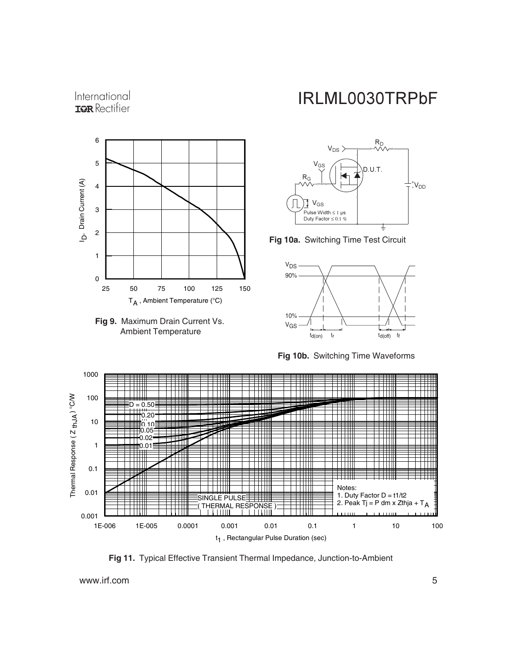### International **IGR** Rectifier





# IRLML0030TRPbF



**Fig 10a.** Switching Time Test Circuit



**Fig 10b.** Switching Time Waveforms



**Fig 11.** Typical Effective Transient Thermal Impedance, Junction-to-Ambient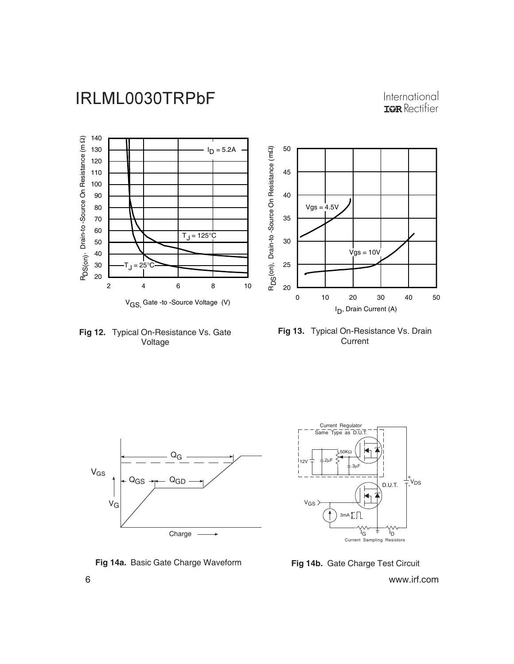### International **IOR** Rectifier



**Fig 12.** Typical On-Resistance Vs. Gate Voltage







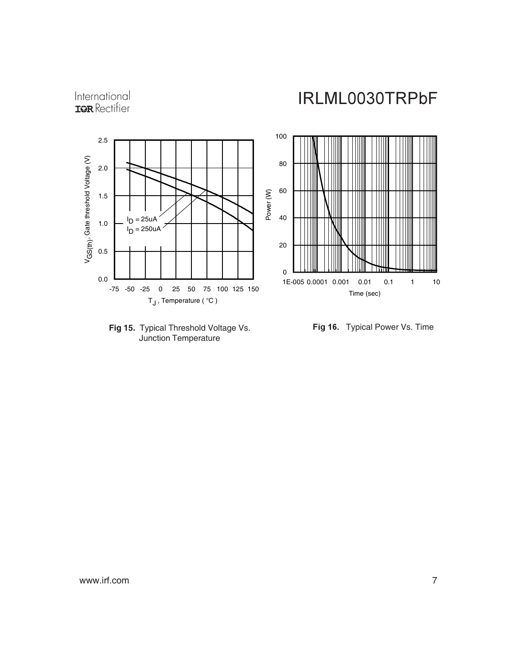# International<br>**IGR** Rectifier

# IRLML0030TRPbF



**Fig 15.** Typical Threshold Voltage Vs. Junction Temperature

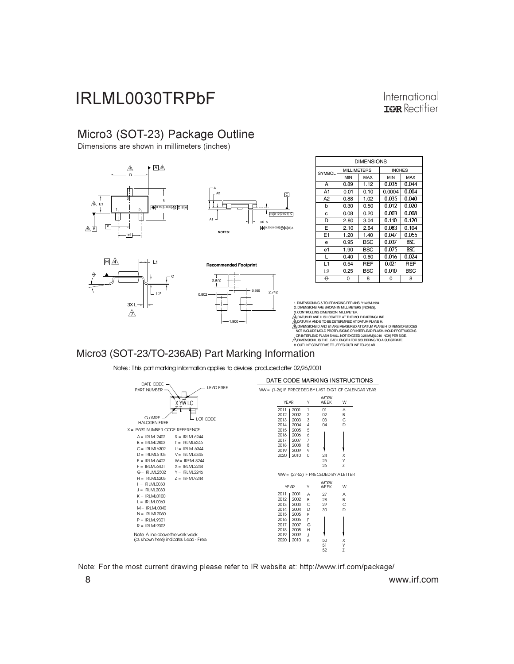### International **IGR** Rectifier

### Micro3 (SOT-23) Package Outline

Dimensions are shown in millimeters (inches)



#### Micro3 (SOT-23/TO-236AB) Part Marking Information

Notes: This part marking information applies to devices produced after 02/26/2001



Note: For the most current drawing please refer to IR website at: http://www.irf.com/package/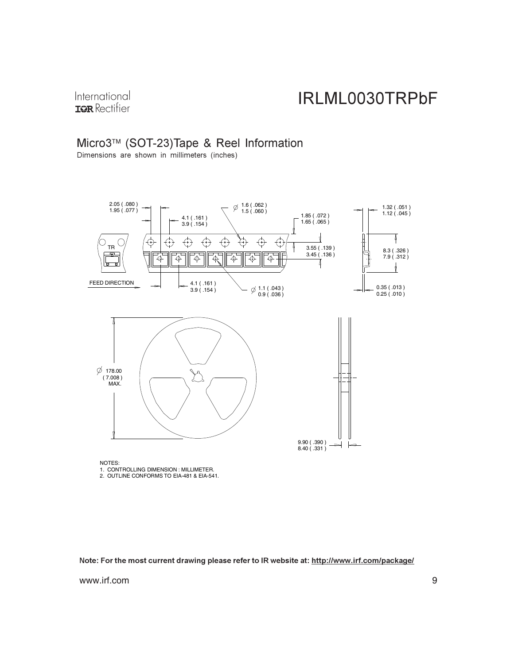### International **IGR** Rectifier

# IRLML0030TRPbF

### Micro3™ (SOT-23)Tape & Reel Information

Dimensions are shown in millimeters (inches)



2. OUTLINE CONFORMS TO EIA-481 & EIA-541.

Note: For the most current drawing please refer to IR website at: <u>http://www.irf.com/package/</u>